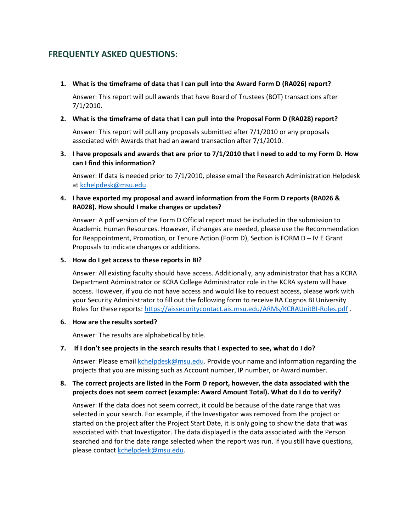# **FREQUENTLY ASKED QUESTIONS:**

 **1. What is the timeframe of data that I can pull into the Award Form D (RA026) report?**

Answer: This report will pull awards that have Board of Trustees (BOT) transactions after 7/1/2010.

#### **2. What is the timeframe of data that I can pull into the Proposal Form D (RA028) report?**

Answer: This report will pull any proposals submitted after 7/1/2010 or any proposals associated with Awards that had an award transaction after 7/1/2010.

 **can I find this information? 3. I have proposals and awards that are prior to 7/1/2010 that I need to add to my Form D. How**

Answer: If data is needed prior to 7/1/2010, please email the Research Administration Helpdesk at kchelpdesk@msu.edu.

## **4. I have exported my proposal and award information from the Form D reports (RA026 & RA028). How should I make changes or updates?**

Answer: A pdf version of the Form D Official report must be included in the submission to Academic Human Resources. However, if changes are needed, please use the Recommendation for Reappointment, Promotion, or Tenure Action (Form D), Section is FORM D – IV E Grant Proposals to indicate changes or additions.

#### **5. How do I get access to these reports in BI?**

Answer: All existing faculty should have access. Additionally, any administrator that has a KCRA Department Administrator or KCRA College Administrator role in the KCRA system will have access. However, if you do not have access and would like to request access, please work with your Security Administrator to fill out the following form to receive RA Cognos BI University Roles for these reports: https://aissecuritycontact.ais.msu.edu/ARMs/KCRAUnitBI-Roles.pdf .

#### **6. How are the results sorted?**

Answer: The results are alphabetical by title.

## **7. If I don't see projects in the search results that I expected to see, what do I do?**

 projects that you are missing such as Account number, IP number, or Award number. Answer: Please email kchelpdesk@msu.edu. Provide your name and information regarding the

## **8. The correct projects are listed in the Form D report, however, the data associated with the projects does not seem correct (example: Award Amount Total). What do I do to verify?**

 associated with that Investigator. The data displayed is the data associated with the Person Answer: If the data does not seem correct, it could be because of the date range that was selected in your search. For example, if the Investigator was removed from the project or started on the project after the Project Start Date, it is only going to show the data that was searched and for the date range selected when the report was run. If you still have questions, please contact kchelpdesk@msu.edu.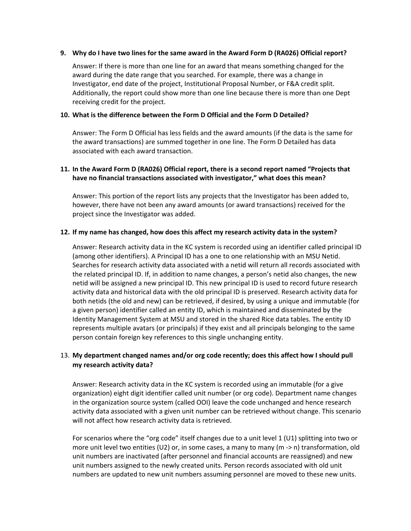#### **9. Why do I have two lines for the same award in the Award Form D (RA026) Official report?**

 Answer: If there is more than one line for an award that means something changed for the award during the date range that you searched. For example, there was a change in Investigator, end date of the project, Institutional Proposal Number, or F&A credit split. Additionally, the report could show more than one line because there is more than one Dept receiving credit for the project.

#### **10. What is the difference between the Form D Official and the Form D Detailed?**

Answer: The Form D Official has less fields and the award amounts (if the data is the same for the award transactions) are summed together in one line. The Form D Detailed has data associated with each award transaction.

## **11. In the Award Form D (RA026) Official report, there is a second report named "Projects that have no financial transactions associated with investigator," what does this mean?**

Answer: This portion of the report lists any projects that the Investigator has been added to, however, there have not been any award amounts (or award transactions) received for the project since the Investigator was added.

## **12. If my name has changed, how does this affect my research activity data in the system?**

 (among other identifiers). A Principal ID has a one to one relationship with an MSU Netid. the related principal ID. If, in addition to name changes, a person's netid also changes, the new Identity Management System at MSU and stored in the shared Rice data tables. The entity ID Answer: Research activity data in the KC system is recorded using an identifier called principal ID Searches for research activity data associated with a netid will return all records associated with netid will be assigned a new principal ID. This new principal ID is used to record future research activity data and historical data with the old principal ID is preserved. Research activity data for both netids (the old and new) can be retrieved, if desired, by using a unique and immutable (for a given person) identifier called an entity ID, which is maintained and disseminated by the represents multiple avatars (or principals) if they exist and all principals belonging to the same person contain foreign key references to this single unchanging entity.

## 13. **My department changed names and/or org code recently; does this affect how I should pull my research activity data?**

Answer: Research activity data in the KC system is recorded using an immutable (for a give organization) eight digit identifier called unit number (or org code). Department name changes in the organization source system (called OOI) leave the code unchanged and hence research activity data associated with a given unit number can be retrieved without change. This scenario will not affect how research activity data is retrieved.

For scenarios where the "org code" itself changes due to a unit level 1 (U1) splitting into two or more unit level two entities (U2) or, in some cases, a many to many (m ‐> n) transformation, old unit numbers are inactivated (after personnel and financial accounts are reassigned) and new unit numbers assigned to the newly created units. Person records associated with old unit numbers are updated to new unit numbers assuming personnel are moved to these new units.